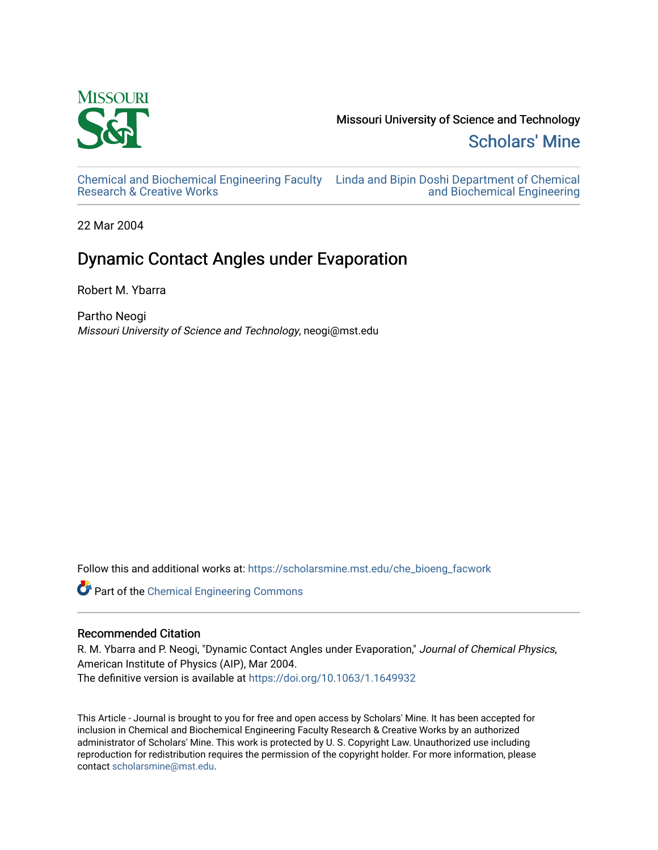

Missouri University of Science and Technology [Scholars' Mine](https://scholarsmine.mst.edu/) 

[Chemical and Biochemical Engineering Faculty](https://scholarsmine.mst.edu/che_bioeng_facwork)  [Linda and Bipin Doshi Department of Chemical](https://scholarsmine.mst.edu/che_bioeng)  [Research & Creative Works](https://scholarsmine.mst.edu/che_bioeng_facwork)

[and Biochemical Engineering](https://scholarsmine.mst.edu/che_bioeng) 

22 Mar 2004

# Dynamic Contact Angles under Evaporation

Robert M. Ybarra

Partho Neogi Missouri University of Science and Technology, neogi@mst.edu

Follow this and additional works at: [https://scholarsmine.mst.edu/che\\_bioeng\\_facwork](https://scholarsmine.mst.edu/che_bioeng_facwork?utm_source=scholarsmine.mst.edu%2Fche_bioeng_facwork%2F7&utm_medium=PDF&utm_campaign=PDFCoverPages)

Part of the [Chemical Engineering Commons](http://network.bepress.com/hgg/discipline/240?utm_source=scholarsmine.mst.edu%2Fche_bioeng_facwork%2F7&utm_medium=PDF&utm_campaign=PDFCoverPages)

## Recommended Citation

R. M. Ybarra and P. Neogi, "Dynamic Contact Angles under Evaporation," Journal of Chemical Physics, American Institute of Physics (AIP), Mar 2004. The definitive version is available at <https://doi.org/10.1063/1.1649932>

This Article - Journal is brought to you for free and open access by Scholars' Mine. It has been accepted for inclusion in Chemical and Biochemical Engineering Faculty Research & Creative Works by an authorized administrator of Scholars' Mine. This work is protected by U. S. Copyright Law. Unauthorized use including reproduction for redistribution requires the permission of the copyright holder. For more information, please contact [scholarsmine@mst.edu](mailto:scholarsmine@mst.edu).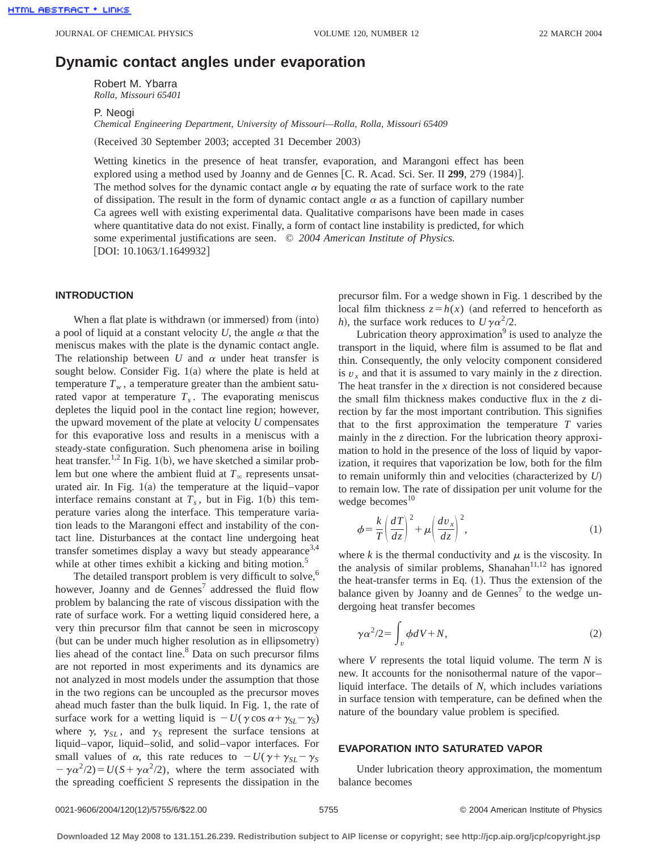# **Dynamic contact angles under evaporation**

Robert M. Ybarra *Rolla, Missouri 65401*

P. Neogi

*Chemical Engineering Department, University of Missouri—Rolla, Rolla, Missouri 65409*

(Received 30 September 2003; accepted 31 December 2003)

Wetting kinetics in the presence of heat transfer, evaporation, and Marangoni effect has been explored using a method used by Joanny and de Gennes [C. R. Acad. Sci. Ser. II 299, 279 (1984)]. The method solves for the dynamic contact angle  $\alpha$  by equating the rate of surface work to the rate of dissipation. The result in the form of dynamic contact angle  $\alpha$  as a function of capillary number Ca agrees well with existing experimental data. Qualitative comparisons have been made in cases where quantitative data do not exist. Finally, a form of contact line instability is predicted, for which some experimental justifications are seen. © *2004 American Institute of Physics.*  $[DOI: 10.1063/1.1649932]$ 

## **INTRODUCTION**

When a flat plate is withdrawn (or immersed) from (into) a pool of liquid at a constant velocity  $U$ , the angle  $\alpha$  that the meniscus makes with the plate is the dynamic contact angle. The relationship between  $U$  and  $\alpha$  under heat transfer is sought below. Consider Fig.  $1(a)$  where the plate is held at temperature  $T_w$ , a temperature greater than the ambient saturated vapor at temperature  $T_s$ . The evaporating meniscus depletes the liquid pool in the contact line region; however, the upward movement of the plate at velocity *U* compensates for this evaporative loss and results in a meniscus with a steady-state configuration. Such phenomena arise in boiling heat transfer.<sup>1,2</sup> In Fig. 1(b), we have sketched a similar problem but one where the ambient fluid at  $T_\infty$  represents unsaturated air. In Fig.  $1(a)$  the temperature at the liquid–vapor interface remains constant at  $T<sub>s</sub>$ , but in Fig. 1(b) this temperature varies along the interface. This temperature variation leads to the Marangoni effect and instability of the contact line. Disturbances at the contact line undergoing heat transfer sometimes display a wavy but steady appearance<sup>3,4</sup> while at other times exhibit a kicking and biting motion.<sup>5</sup>

The detailed transport problem is very difficult to solve, $6$ however, Joanny and de Gennes<sup>7</sup> addressed the fluid flow problem by balancing the rate of viscous dissipation with the rate of surface work. For a wetting liquid considered here, a very thin precursor film that cannot be seen in microscopy (but can be under much higher resolution as in ellipsometry) lies ahead of the contact line.<sup>8</sup> Data on such precursor films are not reported in most experiments and its dynamics are not analyzed in most models under the assumption that those in the two regions can be uncoupled as the precursor moves ahead much faster than the bulk liquid. In Fig. 1, the rate of surface work for a wetting liquid is  $-U(\gamma \cos \alpha + \gamma_{SL} - \gamma_S)$ where  $\gamma$ ,  $\gamma_{SL}$ , and  $\gamma_S$  represent the surface tensions at liquid–vapor, liquid–solid, and solid–vapor interfaces. For small values of  $\alpha$ , this rate reduces to  $-U(\gamma + \gamma_{SL} - \gamma_S)$  $-\gamma \alpha^2/2$ )=*U*(*S*+ $\gamma \alpha^2/2$ ), where the term associated with the spreading coefficient *S* represents the dissipation in the precursor film. For a wedge shown in Fig. 1 described by the local film thickness  $z = h(x)$  (and referred to henceforth as *h*), the surface work reduces to  $U\gamma\alpha^2/2$ .

Lubrication theory approximation $9$  is used to analyze the transport in the liquid, where film is assumed to be flat and thin. Consequently, the only velocity component considered is  $v_x$  and that it is assumed to vary mainly in the *z* direction. The heat transfer in the *x* direction is not considered because the small film thickness makes conductive flux in the *z* direction by far the most important contribution. This signifies that to the first approximation the temperature *T* varies mainly in the *z* direction. For the lubrication theory approximation to hold in the presence of the loss of liquid by vaporization, it requires that vaporization be low, both for the film to remain uniformly thin and velocities (characterized by  $U$ ) to remain low. The rate of dissipation per unit volume for the wedge becomes $10$ 

$$
\phi = \frac{k}{T} \left( \frac{dT}{dz} \right)^2 + \mu \left( \frac{dv_x}{dz} \right)^2,\tag{1}
$$

where  $k$  is the thermal conductivity and  $\mu$  is the viscosity. In the analysis of similar problems, Shanahan $11,12$  has ignored the heat-transfer terms in Eq.  $(1)$ . Thus the extension of the balance given by Joanny and de Gennes<sup>7</sup> to the wedge undergoing heat transfer becomes

$$
\gamma \alpha^2 / 2 = \int_v \phi dV + N,\tag{2}
$$

where *V* represents the total liquid volume. The term *N* is new. It accounts for the nonisothermal nature of the vapor– liquid interface. The details of *N*, which includes variations in surface tension with temperature, can be defined when the nature of the boundary value problem is specified.

#### **EVAPORATION INTO SATURATED VAPOR**

Under lubrication theory approximation, the momentum balance becomes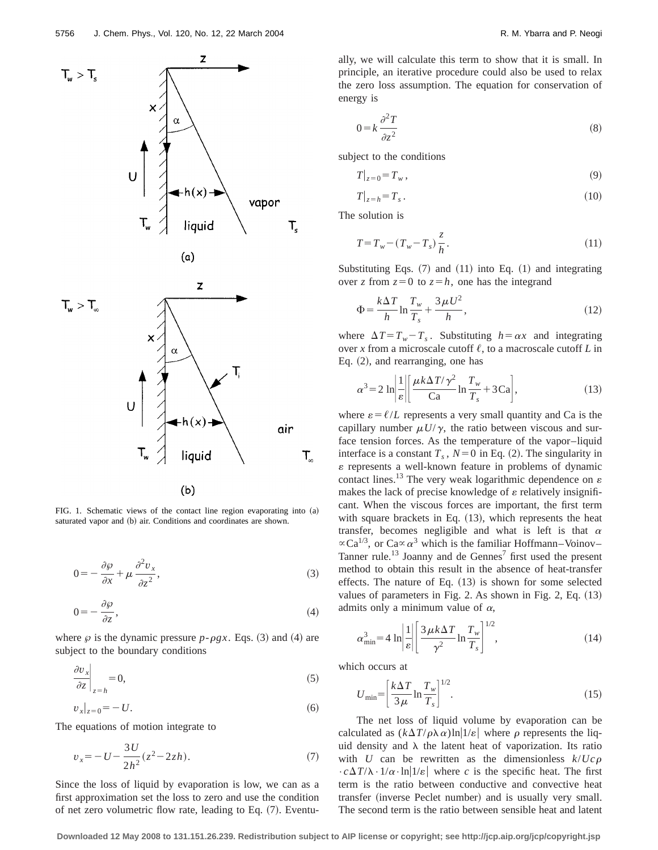

FIG. 1. Schematic views of the contact line region evaporating into  $(a)$ saturated vapor and (b) air. Conditions and coordinates are shown.

$$
0 = -\frac{\partial \varphi}{\partial x} + \mu \frac{\partial^2 v_x}{\partial z^2},
$$
\n(3)

$$
0 = -\frac{\partial \varphi}{\partial z},\tag{4}
$$

where  $\varphi$  is the dynamic pressure  $p$ - $\rho gx$ . Eqs. (3) and (4) are subject to the boundary conditions

$$
\left. \frac{\partial v_x}{\partial z} \right|_{z=h} = 0,\tag{5}
$$

$$
v_x|_{z=0} = -U.\t\t(6)
$$

The equations of motion integrate to

$$
v_x = -U - \frac{3U}{2h^2}(z^2 - 2zh). \tag{7}
$$

Since the loss of liquid by evaporation is low, we can as a first approximation set the loss to zero and use the condition of net zero volumetric flow rate, leading to Eq.  $(7)$ . Eventually, we will calculate this term to show that it is small. In principle, an iterative procedure could also be used to relax the zero loss assumption. The equation for conservation of energy is

$$
0 = k \frac{\partial^2 T}{\partial z^2} \tag{8}
$$

subject to the conditions

$$
T|_{z=0} = T_w, \qquad (9)
$$

$$
T|_{z=h} = T_s \,. \tag{10}
$$

The solution is

$$
T = T_w - (T_w - T_s) \frac{z}{h}.
$$
\n(11)

Substituting Eqs.  $(7)$  and  $(11)$  into Eq.  $(1)$  and integrating over *z* from  $z=0$  to  $z=h$ , one has the integrand

$$
\Phi = \frac{k\Delta T}{h} \ln \frac{T_w}{T_s} + \frac{3\mu U^2}{h},\tag{12}
$$

where  $\Delta T = T_w - T_s$ . Substituting  $h = \alpha x$  and integrating over *x* from a microscale cutoff  $\ell$ , to a macroscale cutoff *L* in Eq.  $(2)$ , and rearranging, one has

$$
\alpha^3 = 2 \ln \left| \frac{1}{\varepsilon} \right| \left[ \frac{\mu k \Delta T / \gamma^2}{\text{Ca}} \ln \frac{T_w}{T_s} + 3 \text{Ca} \right],\tag{13}
$$

where  $\varepsilon = \ell/L$  represents a very small quantity and Ca is the capillary number  $\mu U/\gamma$ , the ratio between viscous and surface tension forces. As the temperature of the vapor–liquid interface is a constant  $T_s$ ,  $N=0$  in Eq. (2). The singularity in  $\varepsilon$  represents a well-known feature in problems of dynamic contact lines.<sup>13</sup> The very weak logarithmic dependence on  $\varepsilon$ makes the lack of precise knowledge of  $\varepsilon$  relatively insignificant. When the viscous forces are important, the first term with square brackets in Eq.  $(13)$ , which represents the heat transfer, becomes negligible and what is left is that  $\alpha$  $\propto$ Ca<sup>1/3</sup>, or Ca $\propto \alpha^3$  which is the familiar Hoffmann–Voinov– Tanner rule.<sup>13</sup> Joanny and de Gennes<sup>7</sup> first used the present method to obtain this result in the absence of heat-transfer effects. The nature of Eq.  $(13)$  is shown for some selected values of parameters in Fig. 2. As shown in Fig. 2, Eq.  $(13)$ admits only a minimum value of  $\alpha$ ,

$$
\alpha_{\min}^3 = 4 \ln \left| \frac{1}{\varepsilon} \right| \left[ \frac{3 \mu k \Delta T}{\gamma^2} \ln \frac{T_w}{T_s} \right]^{1/2},\tag{14}
$$

which occurs at

$$
U_{\min} = \left[\frac{k\Delta T}{3\mu} \ln \frac{T_w}{T_s}\right]^{1/2}.\tag{15}
$$

The net loss of liquid volume by evaporation can be calculated as  $(k\Delta T/\rho\lambda \alpha) \ln(1/\varepsilon)$  where  $\rho$  represents the liquid density and  $\lambda$  the latent heat of vaporization. Its ratio with *U* can be rewritten as the dimensionless  $k/Uc\rho$  $\cdot c \Delta T / \lambda \cdot 1 / \alpha \cdot \ln(1/\varepsilon)$  where *c* is the specific heat. The first term is the ratio between conductive and convective heat transfer (inverse Peclet number) and is usually very small. The second term is the ratio between sensible heat and latent

**Downloaded 12 May 2008 to 131.151.26.239. Redistribution subject to AIP license or copyright; see http://jcp.aip.org/jcp/copyright.jsp**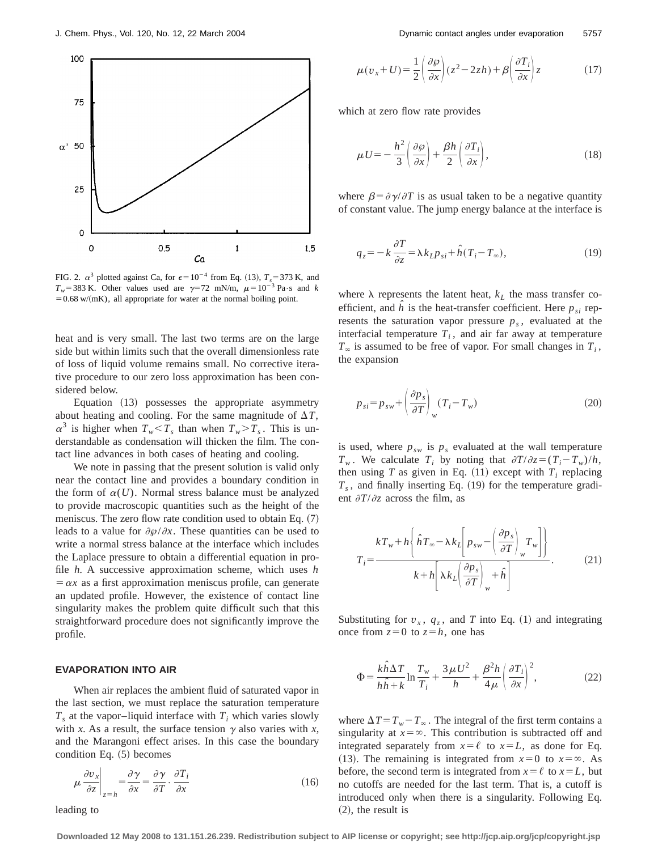

FIG. 2.  $\alpha^3$  plotted against Ca, for  $\epsilon=10^{-4}$  from Eq. (13),  $T_s=373$  K, and  $T_w$ =383 K. Other values used are  $\gamma$ =72 mN/m,  $\mu$ =10<sup>-3</sup> Pa·s and *k*  $=0.68$  w/(mK), all appropriate for water at the normal boiling point.

heat and is very small. The last two terms are on the large side but within limits such that the overall dimensionless rate of loss of liquid volume remains small. No corrective iterative procedure to our zero loss approximation has been considered below.

Equation  $(13)$  possesses the appropriate asymmetry about heating and cooling. For the same magnitude of  $\Delta T$ ,  $\alpha^3$  is higher when  $T_w \le T_s$  than when  $T_w > T_s$ . This is understandable as condensation will thicken the film. The contact line advances in both cases of heating and cooling.

We note in passing that the present solution is valid only near the contact line and provides a boundary condition in the form of  $\alpha(U)$ . Normal stress balance must be analyzed to provide macroscopic quantities such as the height of the meniscus. The zero flow rate condition used to obtain Eq.  $(7)$ leads to a value for  $\partial \varphi / \partial x$ . These quantities can be used to write a normal stress balance at the interface which includes the Laplace pressure to obtain a differential equation in profile *h*. A successive approximation scheme, which uses *h*  $= \alpha x$  as a first approximation meniscus profile, can generate an updated profile. However, the existence of contact line singularity makes the problem quite difficult such that this straightforward procedure does not significantly improve the profile.

#### **EVAPORATION INTO AIR**

When air replaces the ambient fluid of saturated vapor in the last section, we must replace the saturation temperature  $T<sub>s</sub>$  at the vapor–liquid interface with  $T<sub>i</sub>$  which varies slowly with *x*. As a result, the surface tension  $\gamma$  also varies with *x*, and the Marangoni effect arises. In this case the boundary condition Eq.  $(5)$  becomes

$$
\mu \frac{\partial v_x}{\partial z}\bigg|_{z=h} = \frac{\partial \gamma}{\partial x} = \frac{\partial \gamma}{\partial T} \cdot \frac{\partial T_i}{\partial x}
$$
\n(16)

leading to

$$
\mu(v_x + U) = \frac{1}{2} \left( \frac{\partial \varphi}{\partial x} \right) (z^2 - 2zh) + \beta \left( \frac{\partial T_i}{\partial x} \right) z \tag{17}
$$

which at zero flow rate provides

$$
\mu U = -\frac{h^2}{3} \left( \frac{\partial \varphi}{\partial x} \right) + \frac{\beta h}{2} \left( \frac{\partial T_i}{\partial x} \right),\tag{18}
$$

where  $\beta = \partial \gamma / \partial T$  is as usual taken to be a negative quantity of constant value. The jump energy balance at the interface is

$$
q_z = -k \frac{\partial T}{\partial z} = \lambda k_L p_{si} + \hat{h}(T_i - T_\infty),
$$
\n(19)

where  $\lambda$  represents the latent heat,  $k_L$  the mass transfer coefficient, and  $\hat{h}$  is the heat-transfer coefficient. Here  $p_{si}$  represents the saturation vapor pressure  $p<sub>s</sub>$ , evaluated at the interfacial temperature  $T_i$ , and air far away at temperature  $T_{\infty}$  is assumed to be free of vapor. For small changes in  $T_i$ , the expansion

$$
p_{si} = p_{sw} + \left(\frac{\partial p_s}{\partial T}\right)_w (T_i - T_w)
$$
\n(20)

is used, where  $p_{sw}$  is  $p_s$  evaluated at the wall temperature  $T_w$ . We calculate  $T_i$  by noting that  $\partial T/\partial z = (T_i - T_w)/h$ , then using *T* as given in Eq.  $(11)$  except with  $T_i$  replacing  $T_s$ , and finally inserting Eq.  $(19)$  for the temperature gradient  $\partial T / \partial z$  across the film, as

$$
T_{i} = \frac{kT_{w} + h\left\{\hat{h}T_{\infty} - \lambda k_{L}\left[p_{sw} - \left(\frac{\partial p_{s}}{\partial T}\right)_{w} T_{w}\right]\right\}}{k + h\left[\lambda k_{L}\left(\frac{\partial p_{s}}{\partial T}\right)_{w} + \hat{h}\right]}.
$$
 (21)

Substituting for  $v_x$ ,  $q_z$ , and *T* into Eq. (1) and integrating once from  $z=0$  to  $z=h$ , one has

$$
\Phi = \frac{k\hat{h}\Delta T}{h\hat{h} + k} \ln \frac{T_w}{T_i} + \frac{3\mu U^2}{h} + \frac{\beta^2 h}{4\mu} \left(\frac{\partial T_i}{\partial x}\right)^2,\tag{22}
$$

where  $\Delta T = T_w - T_{\infty}$ . The integral of the first term contains a singularity at  $x = \infty$ . This contribution is subtracted off and integrated separately from  $x = \ell$  to  $x = L$ , as done for Eq. (13). The remaining is integrated from  $x=0$  to  $x=\infty$ . As before, the second term is integrated from  $x = \ell$  to  $x = L$ , but no cutoffs are needed for the last term. That is, a cutoff is introduced only when there is a singularity. Following Eq.  $(2)$ , the result is

**Downloaded 12 May 2008 to 131.151.26.239. Redistribution subject to AIP license or copyright; see http://jcp.aip.org/jcp/copyright.jsp**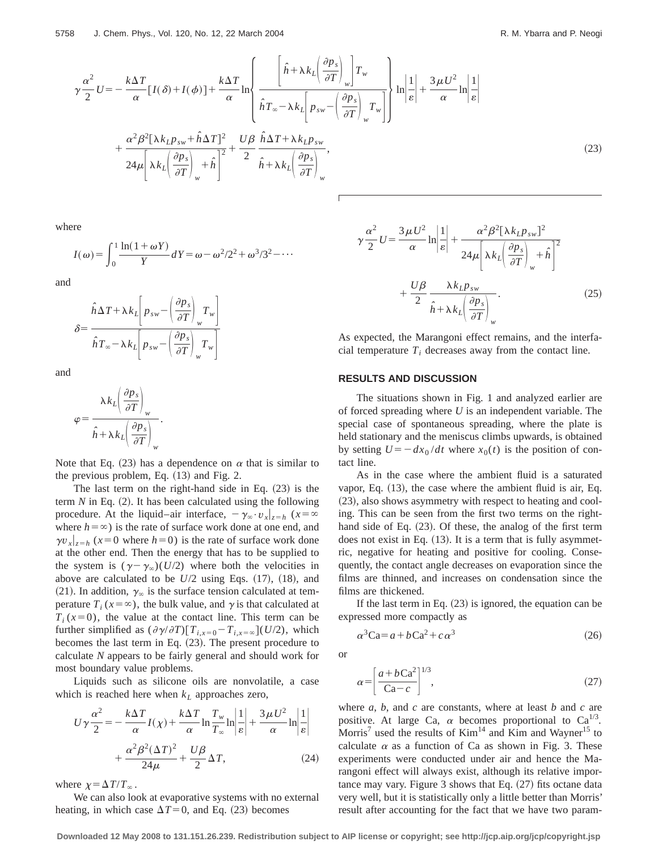$$
\gamma \frac{\alpha^2}{2} U = -\frac{k \Delta T}{\alpha} [I(\delta) + I(\phi)] + \frac{k \Delta T}{\alpha} \ln \left\{ \frac{\left[ \hat{h} + \lambda k_L \left( \frac{\partial p_s}{\partial T} \right)_w \right] T_w}{\hat{h} T_w - \lambda k_L \left[ p_{sw} - \left( \frac{\partial p_s}{\partial T} \right)_w T_w \right]} \right\} \ln \left| \frac{1}{\varepsilon} \right| + \frac{3 \mu U^2}{\alpha} \ln \left| \frac{1}{\varepsilon} \right|
$$

$$
+ \frac{\alpha^2 \beta^2 [\lambda k_L p_{sw} + \hat{h} \Delta T]^2}{24 \mu \left[ \lambda k_L \left( \frac{\partial p_s}{\partial T} \right)_w + \hat{h} \right]^2} + \frac{U \beta}{2} \frac{\hat{h} \Delta T + \lambda k_L p_{sw}}{\hat{h} + \lambda k_L \left( \frac{\partial p_s}{\partial T} \right)_w}, \tag{23}
$$

 $\mathsf{r}$ 

where

$$
I(\omega) = \int_0^1 \frac{\ln(1+\omega Y)}{Y} dY = \omega - \omega^2/2^2 + \omega^3/3^2 - \cdots
$$

and

$$
\delta = \frac{\hat{h}\Delta T + \lambda k_L \left[ p_{sw} - \left( \frac{\partial p_s}{\partial T} \right)_w T_w \right]}{\hat{h} T_{\infty} - \lambda k_L \left[ p_{sw} - \left( \frac{\partial p_s}{\partial T} \right)_w T_w \right]}
$$

and

 $\zeta$ 

$$
\rho = \frac{\lambda k_L \left(\frac{\partial p_s}{\partial T}\right)_w}{\hat{h} + \lambda k_L \left(\frac{\partial p_s}{\partial T}\right)_w}.
$$

Note that Eq. (23) has a dependence on  $\alpha$  that is similar to the previous problem, Eq.  $(13)$  and Fig. 2.

The last term on the right-hand side in Eq.  $(23)$  is the term  $N$  in Eq.  $(2)$ . It has been calculated using the following procedure. At the liquid–air interface,  $-\gamma_{\infty} \cdot v_{x}|_{z=h}$  ( $x=\infty$ where  $h = \infty$ ) is the rate of surface work done at one end, and  $\gamma v_x|_{z=h}$  ( $x=0$  where  $h=0$ ) is the rate of surface work done at the other end. Then the energy that has to be supplied to the system is  $(\gamma - \gamma_{\infty})(U/2)$  where both the velocities in above are calculated to be  $U/2$  using Eqs.  $(17)$ ,  $(18)$ , and (21). In addition,  $\gamma_{\infty}$  is the surface tension calculated at temperature  $T_i$  ( $x = \infty$ ), the bulk value, and  $\gamma$  is that calculated at  $T_i(x=0)$ , the value at the contact line. This term can be further simplified as  $(\partial \gamma / \partial T)[T_{i,x=0} - T_{i,x=\infty}](U/2)$ , which becomes the last term in Eq.  $(23)$ . The present procedure to calculate *N* appears to be fairly general and should work for most boundary value problems.

Liquids such as silicone oils are nonvolatile, a case which is reached here when  $k<sub>L</sub>$  approaches zero,

$$
U\gamma \frac{\alpha^2}{2} = -\frac{k\Delta T}{\alpha}I(\chi) + \frac{k\Delta T}{\alpha}\ln\frac{T_w}{T_\infty}\ln\left|\frac{1}{\varepsilon}\right| + \frac{3\,\mu\,U^2}{\alpha}\ln\left|\frac{1}{\varepsilon}\right|
$$

$$
+ \frac{\alpha^2\beta^2(\Delta T)^2}{24\mu} + \frac{U\beta}{2}\Delta T,\tag{24}
$$

where  $\chi = \Delta T/T_\infty$ .

We can also look at evaporative systems with no external heating, in which case  $\Delta T=0$ , and Eq. (23) becomes

$$
\gamma \frac{\alpha^2}{2} U = \frac{3 \mu U^2}{\alpha} \ln \left| \frac{1}{\varepsilon} \right| + \frac{\alpha^2 \beta^2 [\lambda k_L p_{sw}]^2}{24 \mu \left[ \lambda k_L \left( \frac{\partial p_s}{\partial T} \right)_w + \hat{h} \right]^2} + \frac{U \beta}{2} \frac{\lambda k_L p_{sw}}{\hat{h} + \lambda k_L \left( \frac{\partial p_s}{\partial T} \right)_w}.
$$
\n(25)

As expected, the Marangoni effect remains, and the interfacial temperature  $T_i$  decreases away from the contact line.

## **RESULTS AND DISCUSSION**

The situations shown in Fig. 1 and analyzed earlier are of forced spreading where *U* is an independent variable. The special case of spontaneous spreading, where the plate is held stationary and the meniscus climbs upwards, is obtained by setting  $U=-dx_0/dt$  where  $x_0(t)$  is the position of contact line.

As in the case where the ambient fluid is a saturated vapor, Eq.  $(13)$ , the case where the ambient fluid is air, Eq. (23), also shows asymmetry with respect to heating and cooling. This can be seen from the first two terms on the righthand side of Eq.  $(23)$ . Of these, the analog of the first term does not exist in Eq.  $(13)$ . It is a term that is fully asymmetric, negative for heating and positive for cooling. Consequently, the contact angle decreases on evaporation since the films are thinned, and increases on condensation since the films are thickened.

If the last term in Eq.  $(23)$  is ignored, the equation can be expressed more compactly as

$$
\alpha^3 \text{Ca} = a + b \text{Ca}^2 + c \alpha^3 \tag{26}
$$

or

$$
\alpha = \left[\frac{a + b\text{Ca}^2}{\text{Ca}-c}\right]^{1/3},\tag{27}
$$

where *a*, *b*, and *c* are constants, where at least *b* and *c* are positive. At large Ca,  $\alpha$  becomes proportional to Ca<sup>1/3</sup>. Morris<sup>7</sup> used the results of  $Kim<sup>14</sup>$  and Kim and Wayner<sup>15</sup> to calculate  $\alpha$  as a function of Ca as shown in Fig. 3. These experiments were conducted under air and hence the Marangoni effect will always exist, although its relative importance may vary. Figure  $3$  shows that Eq.  $(27)$  fits octane data very well, but it is statistically only a little better than Morris' result after accounting for the fact that we have two param-

**Downloaded 12 May 2008 to 131.151.26.239. Redistribution subject to AIP license or copyright; see http://jcp.aip.org/jcp/copyright.jsp**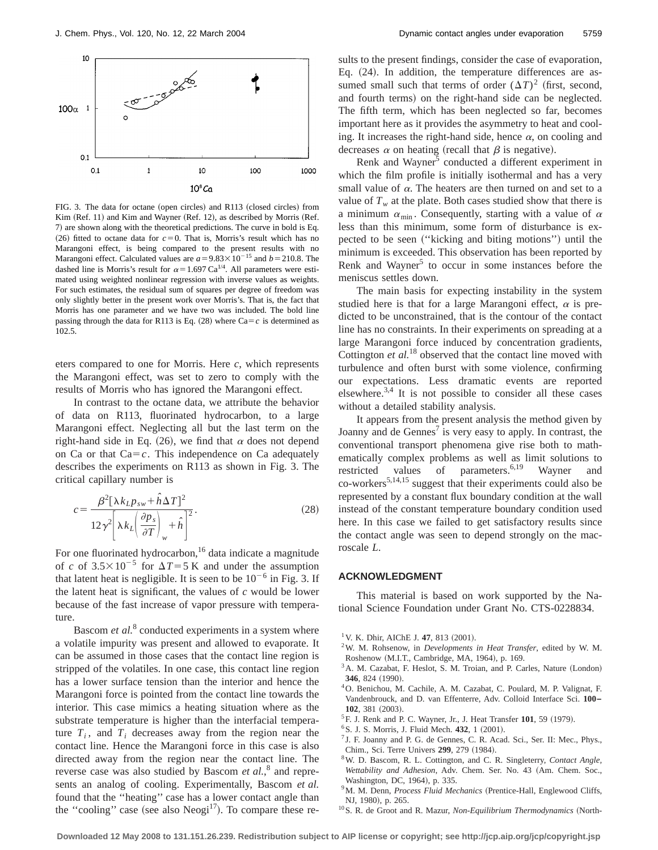

FIG. 3. The data for octane (open circles) and R113 (closed circles) from Kim (Ref. 11) and Kim and Wayner (Ref. 12), as described by Morris (Ref. 7) are shown along with the theoretical predictions. The curve in bold is Eq.  $(26)$  fitted to octane data for  $c=0$ . That is, Morris's result which has no Marangoni effect, is being compared to the present results with no Marangoni effect. Calculated values are  $a = 9.83 \times 10^{-15}$  and  $b = 210.8$ . The dashed line is Morris's result for  $\alpha$  = 1.697 Ca<sup>1/4</sup>. All parameters were estimated using weighted nonlinear regression with inverse values as weights. For such estimates, the residual sum of squares per degree of freedom was only slightly better in the present work over Morris's. That is, the fact that Morris has one parameter and we have two was included. The bold line passing through the data for R113 is Eq.  $(28)$  where Ca=*c* is determined as 102.5.

eters compared to one for Morris. Here *c*, which represents the Marangoni effect, was set to zero to comply with the results of Morris who has ignored the Marangoni effect.

In contrast to the octane data, we attribute the behavior of data on R113, fluorinated hydrocarbon, to a large Marangoni effect. Neglecting all but the last term on the right-hand side in Eq. (26), we find that  $\alpha$  does not depend on Ca or that  $Ca = c$ . This independence on Ca adequately describes the experiments on R113 as shown in Fig. 3. The critical capillary number is

$$
c = \frac{\beta^2 [\lambda k_L p_{sw} + \hat{h}\Delta T]^2}{12\gamma^2 \left[\lambda k_L \left(\frac{\partial p_s}{\partial T}\right)_w + \hat{h}\right]^2}.
$$
 (28)

For one fluorinated hydrocarbon,<sup>16</sup> data indicate a magnitude of *c* of  $3.5 \times 10^{-5}$  for  $\Delta T = 5$  K and under the assumption that latent heat is negligible. It is seen to be  $10^{-6}$  in Fig. 3. If the latent heat is significant, the values of *c* would be lower because of the fast increase of vapor pressure with temperature.

Bascom *et al.*<sup>8</sup> conducted experiments in a system where a volatile impurity was present and allowed to evaporate. It can be assumed in those cases that the contact line region is stripped of the volatiles. In one case, this contact line region has a lower surface tension than the interior and hence the Marangoni force is pointed from the contact line towards the interior. This case mimics a heating situation where as the substrate temperature is higher than the interfacial temperature  $T_i$ , and  $T_i$  decreases away from the region near the contact line. Hence the Marangoni force in this case is also directed away from the region near the contact line. The reverse case was also studied by Bascom *et al.*, <sup>8</sup> and represents an analog of cooling. Experimentally, Bascom *et al.* found that the ''heating'' case has a lower contact angle than the "cooling" case (see also  $Neogi<sup>17</sup>$ ). To compare these results to the present findings, consider the case of evaporation, Eq.  $(24)$ . In addition, the temperature differences are assumed small such that terms of order  $(\Delta T)^2$  (first, second, and fourth terms) on the right-hand side can be neglected. The fifth term, which has been neglected so far, becomes important here as it provides the asymmetry to heat and cooling. It increases the right-hand side, hence  $\alpha$ , on cooling and decreases  $\alpha$  on heating (recall that  $\beta$  is negative).

Renk and Wayner<sup>5</sup> conducted a different experiment in which the film profile is initially isothermal and has a very small value of  $\alpha$ . The heaters are then turned on and set to a value of  $T_w$  at the plate. Both cases studied show that there is a minimum  $\alpha_{\min}$ . Consequently, starting with a value of  $\alpha$ less than this minimum, some form of disturbance is expected to be seen ("kicking and biting motions") until the minimum is exceeded. This observation has been reported by Renk and Wayner<sup>5</sup> to occur in some instances before the meniscus settles down.

The main basis for expecting instability in the system studied here is that for a large Marangoni effect,  $\alpha$  is predicted to be unconstrained, that is the contour of the contact line has no constraints. In their experiments on spreading at a large Marangoni force induced by concentration gradients, Cottington *et al.*<sup>18</sup> observed that the contact line moved with turbulence and often burst with some violence, confirming our expectations. Less dramatic events are reported elsewhere. $3,4$  It is not possible to consider all these cases without a detailed stability analysis.

It appears from the present analysis the method given by Joanny and de Gennes<sup> $\frac{7}{1}$ </sup> is very easy to apply. In contrast, the conventional transport phenomena give rise both to mathematically complex problems as well as limit solutions to restricted values of parameters.<sup>6,19</sup> Wayner and co-workers<sup>5,14,15</sup> suggest that their experiments could also be represented by a constant flux boundary condition at the wall instead of the constant temperature boundary condition used here. In this case we failed to get satisfactory results since the contact angle was seen to depend strongly on the macroscale *L*.

#### **ACKNOWLEDGMENT**

This material is based on work supported by the National Science Foundation under Grant No. CTS-0228834.

- <sup>1</sup> V. K. Dhir, AIChE J. 47, 813  $(2001)$ .
- 2W. M. Rohsenow, in *Developments in Heat Transfer*, edited by W. M. Roshenow (M.I.T., Cambridge, MA, 1964), p. 169.
- <sup>3</sup> A. M. Cazabat, F. Heslot, S. M. Troian, and P. Carles, Nature (London) **346**, 824 (1990).
- 4O. Benichou, M. Cachile, A. M. Cazabat, C. Poulard, M. P. Valignat, F. Vandenbrouck, and D. van Effenterre, Adv. Colloid Interface Sci. **100– 102.** 381 (2003).
- ${}^{5}$ F. J. Renk and P. C. Wayner, Jr., J. Heat Transfer  $101$ , 59 (1979).
- <sup>6</sup> S. J. S. Morris, J. Fluid Mech. 432, 1 (2001).
- $<sup>7</sup>$  J. F. Joanny and P. G. de Gennes, C. R. Acad. Sci., Ser. II: Mec., Phys.,</sup> Chim., Sci. Terre Univers 299, 279 (1984).
- 8W. D. Bascom, R. L. Cottington, and C. R. Singleterry, *Contact Angle, Wettability and Adhesion*, Adv. Chem. Ser. No. 43 (Am. Chem. Soc., Washington, DC, 1964), p. 335.
- <sup>9</sup>M. M. Denn, *Process Fluid Mechanics* (Prentice-Hall, Englewood Cliffs, NJ, 1980), p. 265.
- <sup>10</sup> S. R. de Groot and R. Mazur, *Non-Equilibrium Thermodynamics* (North-